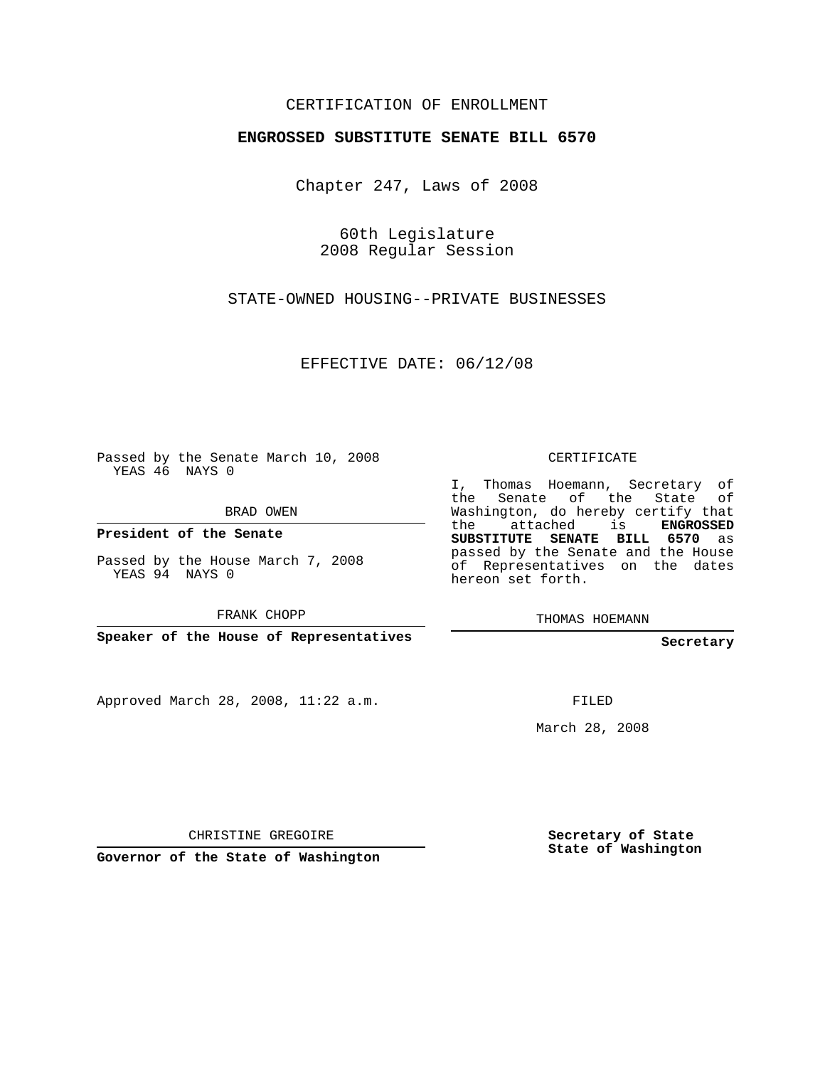## CERTIFICATION OF ENROLLMENT

## **ENGROSSED SUBSTITUTE SENATE BILL 6570**

Chapter 247, Laws of 2008

60th Legislature 2008 Regular Session

STATE-OWNED HOUSING--PRIVATE BUSINESSES

EFFECTIVE DATE: 06/12/08

Passed by the Senate March 10, 2008 YEAS 46 NAYS 0

BRAD OWEN

**President of the Senate**

Passed by the House March 7, 2008 YEAS 94 NAYS 0

FRANK CHOPP

**Speaker of the House of Representatives**

Approved March 28, 2008, 11:22 a.m.

CERTIFICATE

I, Thomas Hoemann, Secretary of the Senate of the State of Washington, do hereby certify that the attached is **ENGROSSED SUBSTITUTE SENATE BILL 6570** as passed by the Senate and the House of Representatives on the dates hereon set forth.

THOMAS HOEMANN

**Secretary**

FILED

March 28, 2008

CHRISTINE GREGOIRE

**Governor of the State of Washington**

**Secretary of State State of Washington**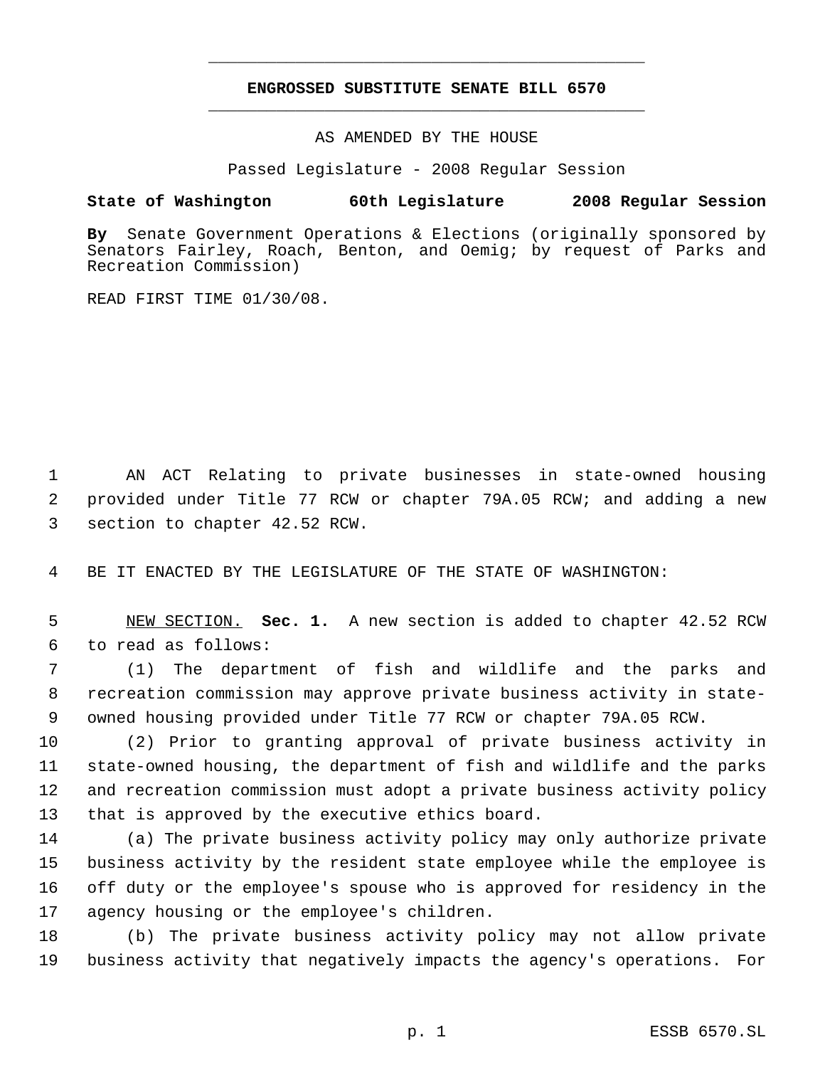## **ENGROSSED SUBSTITUTE SENATE BILL 6570** \_\_\_\_\_\_\_\_\_\_\_\_\_\_\_\_\_\_\_\_\_\_\_\_\_\_\_\_\_\_\_\_\_\_\_\_\_\_\_\_\_\_\_\_\_

\_\_\_\_\_\_\_\_\_\_\_\_\_\_\_\_\_\_\_\_\_\_\_\_\_\_\_\_\_\_\_\_\_\_\_\_\_\_\_\_\_\_\_\_\_

AS AMENDED BY THE HOUSE

Passed Legislature - 2008 Regular Session

## **State of Washington 60th Legislature 2008 Regular Session**

**By** Senate Government Operations & Elections (originally sponsored by Senators Fairley, Roach, Benton, and Oemig; by request of Parks and Recreation Commission)

READ FIRST TIME 01/30/08.

 AN ACT Relating to private businesses in state-owned housing provided under Title 77 RCW or chapter 79A.05 RCW; and adding a new section to chapter 42.52 RCW.

BE IT ENACTED BY THE LEGISLATURE OF THE STATE OF WASHINGTON:

 NEW SECTION. **Sec. 1.** A new section is added to chapter 42.52 RCW to read as follows:

 (1) The department of fish and wildlife and the parks and recreation commission may approve private business activity in state- owned housing provided under Title 77 RCW or chapter 79A.05 RCW.

 (2) Prior to granting approval of private business activity in state-owned housing, the department of fish and wildlife and the parks and recreation commission must adopt a private business activity policy that is approved by the executive ethics board.

 (a) The private business activity policy may only authorize private business activity by the resident state employee while the employee is off duty or the employee's spouse who is approved for residency in the agency housing or the employee's children.

 (b) The private business activity policy may not allow private business activity that negatively impacts the agency's operations. For